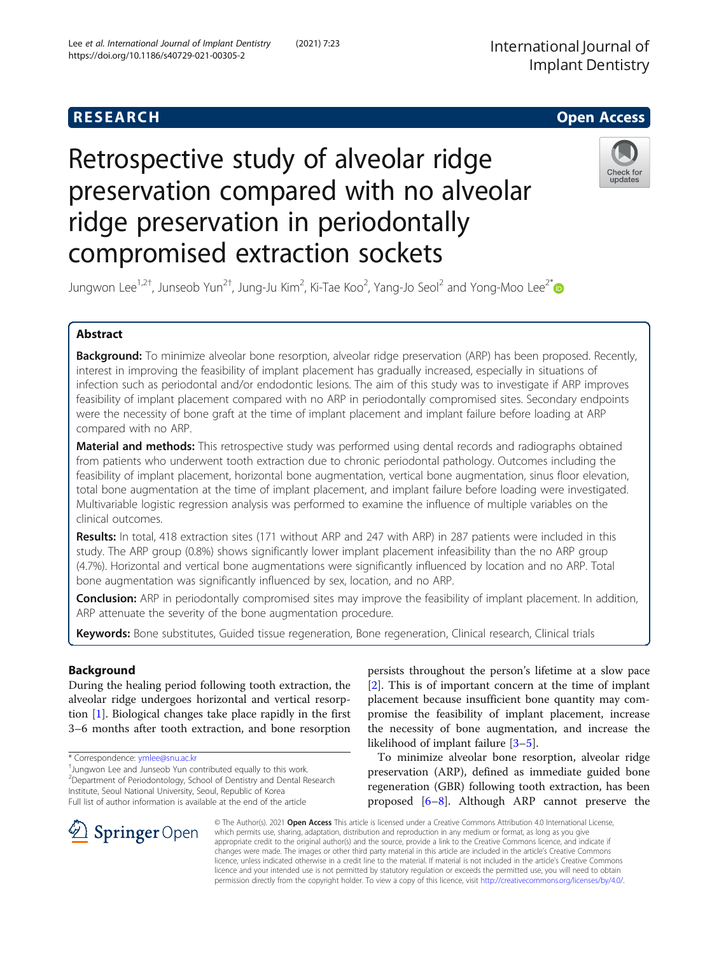# **RESEARCH CHE Open Access**

# Retrospective study of alveolar ridge preservation compared with no alveolar ridge preservation in periodontally compromised extraction sockets



Jungwon Lee $^{1,2\dagger}$ , Junseob Yun $^{2\dagger}$ , Jung-Ju Kim $^2$ , Ki-Tae Koo $^2$ , Yang-Jo Seol $^2$  and Yong-Moo Lee $^{2^*}$ 

# Abstract

Background: To minimize alveolar bone resorption, alveolar ridge preservation (ARP) has been proposed. Recently, interest in improving the feasibility of implant placement has gradually increased, especially in situations of infection such as periodontal and/or endodontic lesions. The aim of this study was to investigate if ARP improves feasibility of implant placement compared with no ARP in periodontally compromised sites. Secondary endpoints were the necessity of bone graft at the time of implant placement and implant failure before loading at ARP compared with no ARP.

Material and methods: This retrospective study was performed using dental records and radiographs obtained from patients who underwent tooth extraction due to chronic periodontal pathology. Outcomes including the feasibility of implant placement, horizontal bone augmentation, vertical bone augmentation, sinus floor elevation, total bone augmentation at the time of implant placement, and implant failure before loading were investigated. Multivariable logistic regression analysis was performed to examine the influence of multiple variables on the clinical outcomes.

Results: In total, 418 extraction sites (171 without ARP and 247 with ARP) in 287 patients were included in this study. The ARP group (0.8%) shows significantly lower implant placement infeasibility than the no ARP group (4.7%). Horizontal and vertical bone augmentations were significantly influenced by location and no ARP. Total bone augmentation was significantly influenced by sex, location, and no ARP.

Conclusion: ARP in periodontally compromised sites may improve the feasibility of implant placement. In addition, ARP attenuate the severity of the bone augmentation procedure.

Keywords: Bone substitutes, Guided tissue regeneration, Bone regeneration, Clinical research, Clinical trials

# Background

During the healing period following tooth extraction, the alveolar ridge undergoes horizontal and vertical resorption [\[1](#page-8-0)]. Biological changes take place rapidly in the first 3–6 months after tooth extraction, and bone resorption

\* Correspondence: [ymlee@snu.ac.kr](mailto:ymlee@snu.ac.kr) †

SpringerOpen

Jungwon Lee and Junseob Yun contributed equally to this work. <sup>2</sup> Department of Periodontology, School of Dentistry and Dental Research Institute, Seoul National University, Seoul, Republic of Korea

Full list of author information is available at the end of the article

persists throughout the person's lifetime at a slow pace [[2\]](#page-8-0). This is of important concern at the time of implant placement because insufficient bone quantity may compromise the feasibility of implant placement, increase the necessity of bone augmentation, and increase the likelihood of implant failure [\[3](#page-8-0)–[5\]](#page-8-0).

To minimize alveolar bone resorption, alveolar ridge preservation (ARP), defined as immediate guided bone regeneration (GBR) following tooth extraction, has been proposed [\[6](#page-8-0)–[8](#page-8-0)]. Although ARP cannot preserve the

© The Author(s). 2021 Open Access This article is licensed under a Creative Commons Attribution 4.0 International License, which permits use, sharing, adaptation, distribution and reproduction in any medium or format, as long as you give appropriate credit to the original author(s) and the source, provide a link to the Creative Commons licence, and indicate if changes were made. The images or other third party material in this article are included in the article's Creative Commons licence, unless indicated otherwise in a credit line to the material. If material is not included in the article's Creative Commons licence and your intended use is not permitted by statutory regulation or exceeds the permitted use, you will need to obtain permission directly from the copyright holder. To view a copy of this licence, visit <http://creativecommons.org/licenses/by/4.0/>.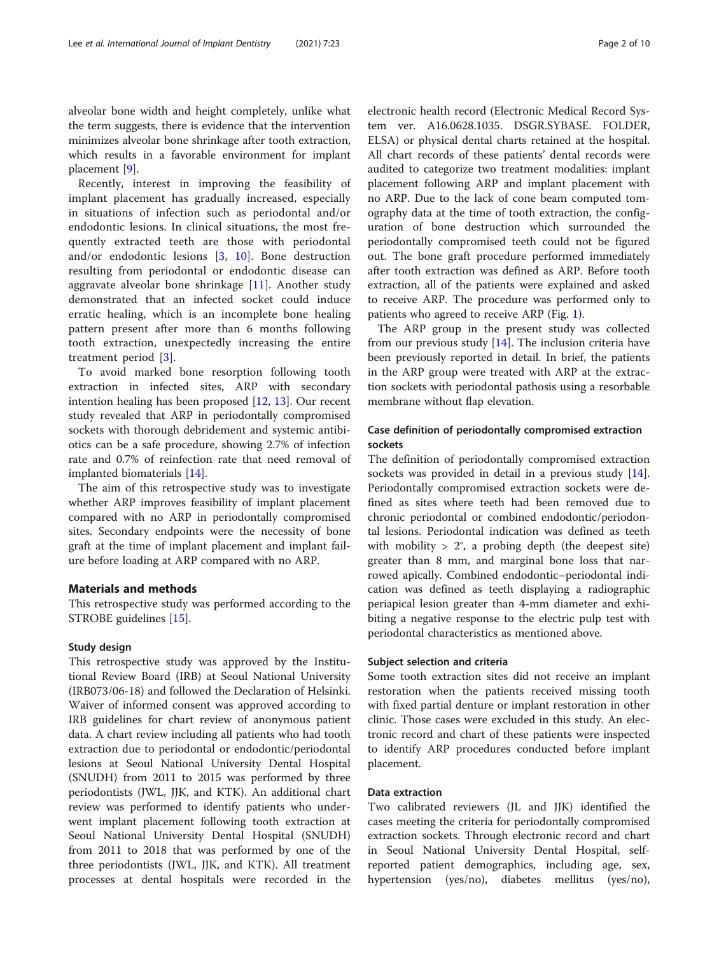alveolar bone width and height completely, unlike what the term suggests, there is evidence that the intervention minimizes alveolar bone shrinkage after tooth extraction, which results in a favorable environment for implant placement [[9\]](#page-8-0).

Recently, interest in improving the feasibility of implant placement has gradually increased, especially in situations of infection such as periodontal and/or endodontic lesions. In clinical situations, the most frequently extracted teeth are those with periodontal and/or endodontic lesions [\[3](#page-8-0), [10\]](#page-8-0). Bone destruction resulting from periodontal or endodontic disease can aggravate alveolar bone shrinkage [\[11](#page-8-0)]. Another study demonstrated that an infected socket could induce erratic healing, which is an incomplete bone healing pattern present after more than 6 months following tooth extraction, unexpectedly increasing the entire treatment period [\[3](#page-8-0)].

To avoid marked bone resorption following tooth extraction in infected sites, ARP with secondary intention healing has been proposed [\[12](#page-8-0), [13](#page-8-0)]. Our recent study revealed that ARP in periodontally compromised sockets with thorough debridement and systemic antibiotics can be a safe procedure, showing 2.7% of infection rate and 0.7% of reinfection rate that need removal of implanted biomaterials [[14\]](#page-8-0).

The aim of this retrospective study was to investigate whether ARP improves feasibility of implant placement compared with no ARP in periodontally compromised sites. Secondary endpoints were the necessity of bone graft at the time of implant placement and implant failure before loading at ARP compared with no ARP.

#### Materials and methods

This retrospective study was performed according to the STROBE guidelines [\[15](#page-8-0)].

#### Study design

This retrospective study was approved by the Institutional Review Board (IRB) at Seoul National University (IRB073/06-18) and followed the Declaration of Helsinki. Waiver of informed consent was approved according to IRB guidelines for chart review of anonymous patient data. A chart review including all patients who had tooth extraction due to periodontal or endodontic/periodontal lesions at Seoul National University Dental Hospital (SNUDH) from 2011 to 2015 was performed by three periodontists (JWL, JJK, and KTK). An additional chart review was performed to identify patients who underwent implant placement following tooth extraction at Seoul National University Dental Hospital (SNUDH) from 2011 to 2018 that was performed by one of the three periodontists (JWL, JJK, and KTK). All treatment processes at dental hospitals were recorded in the electronic health record (Electronic Medical Record System ver. A16.0628.1035. DSGR.SYBASE. FOLDER, ELSA) or physical dental charts retained at the hospital. All chart records of these patients' dental records were audited to categorize two treatment modalities: implant placement following ARP and implant placement with no ARP. Due to the lack of cone beam computed tomography data at the time of tooth extraction, the configuration of bone destruction which surrounded the periodontally compromised teeth could not be figured out. The bone graft procedure performed immediately after tooth extraction was defined as ARP. Before tooth extraction, all of the patients were explained and asked to receive ARP. The procedure was performed only to patients who agreed to receive ARP (Fig. [1](#page-2-0)).

The ARP group in the present study was collected from our previous study [\[14](#page-8-0)]. The inclusion criteria have been previously reported in detail. In brief, the patients in the ARP group were treated with ARP at the extraction sockets with periodontal pathosis using a resorbable membrane without flap elevation.

#### Case definition of periodontally compromised extraction sockets

The definition of periodontally compromised extraction sockets was provided in detail in a previous study [\[14](#page-8-0)]. Periodontally compromised extraction sockets were defined as sites where teeth had been removed due to chronic periodontal or combined endodontic/periodontal lesions. Periodontal indication was defined as teeth with mobility  $> 2^{\circ}$ , a probing depth (the deepest site) greater than 8 mm, and marginal bone loss that narrowed apically. Combined endodontic–periodontal indication was defined as teeth displaying a radiographic periapical lesion greater than 4-mm diameter and exhibiting a negative response to the electric pulp test with periodontal characteristics as mentioned above.

#### Subject selection and criteria

Some tooth extraction sites did not receive an implant restoration when the patients received missing tooth with fixed partial denture or implant restoration in other clinic. Those cases were excluded in this study. An electronic record and chart of these patients were inspected to identify ARP procedures conducted before implant placement.

#### Data extraction

Two calibrated reviewers (JL and JJK) identified the cases meeting the criteria for periodontally compromised extraction sockets. Through electronic record and chart in Seoul National University Dental Hospital, selfreported patient demographics, including age, sex, hypertension (yes/no), diabetes mellitus (yes/no),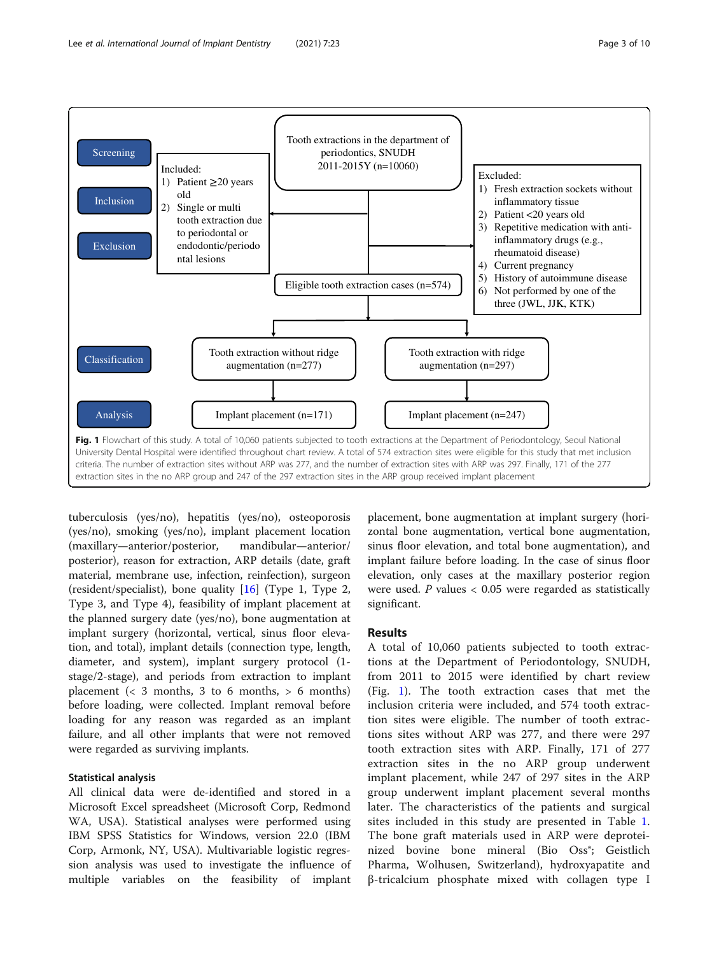<span id="page-2-0"></span>

tuberculosis (yes/no), hepatitis (yes/no), osteoporosis (yes/no), smoking (yes/no), implant placement location (maxillary—anterior/posterior, mandibular—anterior/ posterior), reason for extraction, ARP details (date, graft material, membrane use, infection, reinfection), surgeon (resident/specialist), bone quality [[16\]](#page-8-0) (Type 1, Type 2, Type 3, and Type 4), feasibility of implant placement at the planned surgery date (yes/no), bone augmentation at implant surgery (horizontal, vertical, sinus floor elevation, and total), implant details (connection type, length, diameter, and system), implant surgery protocol (1 stage/2-stage), and periods from extraction to implant placement  $\left( < 3 \right)$  months, 3 to 6 months,  $> 6 \right)$  months) before loading, were collected. Implant removal before loading for any reason was regarded as an implant failure, and all other implants that were not removed were regarded as surviving implants.

#### Statistical analysis

All clinical data were de-identified and stored in a Microsoft Excel spreadsheet (Microsoft Corp, Redmond WA, USA). Statistical analyses were performed using IBM SPSS Statistics for Windows, version 22.0 (IBM Corp, Armonk, NY, USA). Multivariable logistic regression analysis was used to investigate the influence of multiple variables on the feasibility of implant placement, bone augmentation at implant surgery (horizontal bone augmentation, vertical bone augmentation, sinus floor elevation, and total bone augmentation), and implant failure before loading. In the case of sinus floor elevation, only cases at the maxillary posterior region were used.  $P$  values  $< 0.05$  were regarded as statistically significant.

#### Results

A total of 10,060 patients subjected to tooth extractions at the Department of Periodontology, SNUDH, from 2011 to 2015 were identified by chart review (Fig. 1). The tooth extraction cases that met the inclusion criteria were included, and 574 tooth extraction sites were eligible. The number of tooth extractions sites without ARP was 277, and there were 297 tooth extraction sites with ARP. Finally, 171 of 277 extraction sites in the no ARP group underwent implant placement, while 247 of 297 sites in the ARP group underwent implant placement several months later. The characteristics of the patients and surgical sites included in this study are presented in Table [1](#page-3-0). The bone graft materials used in ARP were deproteinized bovine bone mineral (Bio Oss<sup>®</sup>; Geistlich Pharma, Wolhusen, Switzerland), hydroxyapatite and β-tricalcium phosphate mixed with collagen type I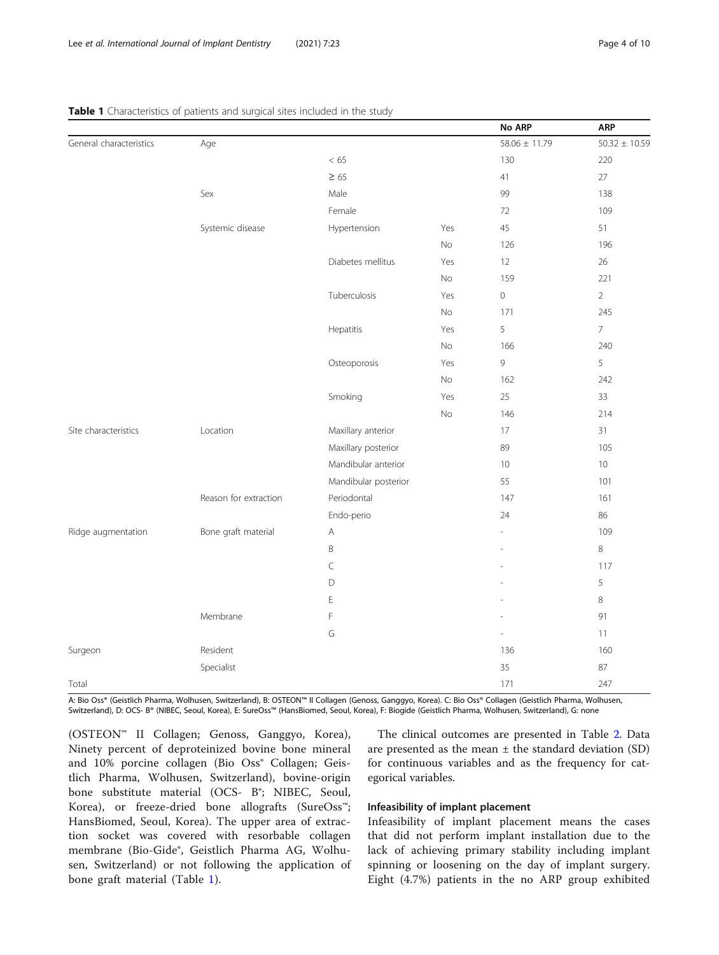|                         |                       |                      |     | No ARP            | <b>ARP</b>        |
|-------------------------|-----------------------|----------------------|-----|-------------------|-------------------|
| General characteristics | Age                   |                      |     | $58.06 \pm 11.79$ | $50.32 \pm 10.59$ |
|                         |                       | < 65                 |     | 130               | 220               |
|                         |                       | $\geq 65$            |     | 41                | 27                |
|                         | Sex                   | Male                 |     | 99                | 138               |
|                         |                       | Female               |     | 72                | 109               |
|                         | Systemic disease      | Hypertension         | Yes | 45                | 51                |
|                         |                       |                      | No  | 126               | 196               |
|                         |                       | Diabetes mellitus    | Yes | 12                | 26                |
|                         |                       |                      | No  | 159               | 221               |
|                         |                       | Tuberculosis         | Yes | $\mathsf O$       | $\overline{2}$    |
|                         |                       |                      | No  | 171               | 245               |
|                         |                       | Hepatitis            | Yes | 5                 | $\overline{7}$    |
|                         |                       |                      | No  | 166               | 240               |
|                         |                       | Osteoporosis         | Yes | 9                 | 5                 |
|                         |                       |                      | No  | 162               | 242               |
|                         |                       | Smoking              | Yes | 25                | 33                |
|                         |                       |                      | No  | 146               | 214               |
| Site characteristics    | Location              | Maxillary anterior   |     | 17                | 31                |
|                         |                       | Maxillary posterior  |     | 89                | 105               |
|                         |                       | Mandibular anterior  |     | 10                | $10$              |
|                         |                       | Mandibular posterior |     | 55                | 101               |
|                         | Reason for extraction | Periodontal          |     | 147               | 161               |
|                         |                       | Endo-perio           |     | 24                | 86                |
| Ridge augmentation      | Bone graft material   | Α                    |     |                   | 109               |
|                         |                       | $\overline{B}$       |     |                   | $\,8\,$           |
|                         |                       | $\subset$            |     |                   | 117               |
|                         |                       | $\mathsf D$          |     |                   | 5                 |
|                         |                       | E                    |     |                   | $\,8\,$           |
|                         | Membrane              | F                    |     |                   | 91                |
|                         |                       | G                    |     |                   | 11                |
| Surgeon                 | Resident              |                      |     | 136               | 160               |
|                         | Specialist            |                      |     | 35                | 87                |
| Total                   |                       |                      |     | 171               | 247               |

#### <span id="page-3-0"></span>Table 1 Characteristics of patients and surgical sites included in the study

A: Bio Oss® (Geistlich Pharma, Wolhusen, Switzerland), B: OSTEON™ II Collagen (Genoss, Ganggyo, Korea). C: Bio Oss® Collagen (Geistlich Pharma, Wolhusen, Switzerland), D: OCS- B® (NIBEC, Seoul, Korea), E: SureOss™ (HansBiomed, Seoul, Korea), F: Biogide (Geistlich Pharma, Wolhusen, Switzerland), G: none

(OSTEON™ II Collagen; Genoss, Ganggyo, Korea), Ninety percent of deproteinized bovine bone mineral and 10% porcine collagen (Bio Oss<sup>®</sup> Collagen; Geistlich Pharma, Wolhusen, Switzerland), bovine-origin bone substitute material (OCS- B<sup>®</sup>; NIBEC, Seoul, Korea), or freeze-dried bone allografts (SureOss™; HansBiomed, Seoul, Korea). The upper area of extraction socket was covered with resorbable collagen membrane (Bio-Gide®, Geistlich Pharma AG, Wolhusen, Switzerland) or not following the application of bone graft material (Table 1).

The clinical outcomes are presented in Table [2](#page-4-0). Data are presented as the mean  $\pm$  the standard deviation (SD) for continuous variables and as the frequency for categorical variables.

#### Infeasibility of implant placement

Infeasibility of implant placement means the cases that did not perform implant installation due to the lack of achieving primary stability including implant spinning or loosening on the day of implant surgery. Eight (4.7%) patients in the no ARP group exhibited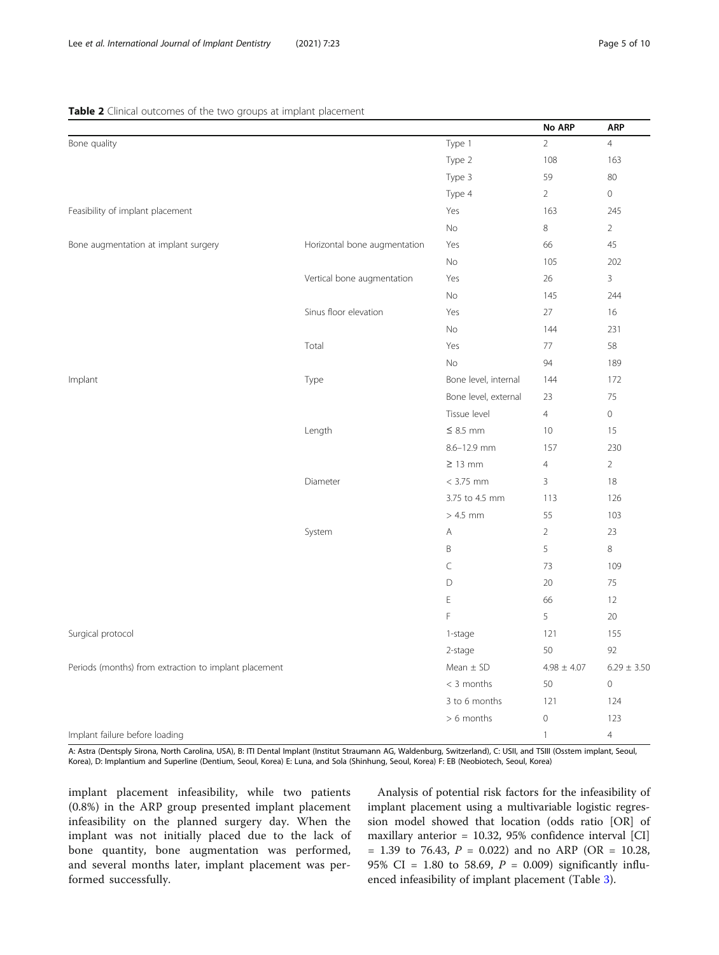#### <span id="page-4-0"></span>Table 2 Clinical outcomes of the two groups at implant placement

|                                                       |                              |                      | No ARP          | <b>ARP</b>      |
|-------------------------------------------------------|------------------------------|----------------------|-----------------|-----------------|
| Bone quality                                          |                              | Type 1               | $\overline{2}$  | $\overline{4}$  |
|                                                       |                              | Type 2               | 108             | 163             |
|                                                       |                              | Type 3               | 59              | 80              |
|                                                       |                              | Type 4               | $\overline{2}$  | $\mathbf 0$     |
| Feasibility of implant placement                      |                              | Yes                  | 163             | 245             |
|                                                       |                              | No                   | 8               | $\overline{2}$  |
| Bone augmentation at implant surgery                  | Horizontal bone augmentation | Yes                  | 66              | 45              |
|                                                       |                              | No                   | 105             | 202             |
|                                                       | Vertical bone augmentation   | Yes                  | 26              | $\overline{3}$  |
|                                                       |                              | No                   | 145             | 244             |
|                                                       | Sinus floor elevation        | Yes                  | 27              | 16              |
|                                                       |                              | No                   | 144             | 231             |
|                                                       | Total                        | Yes                  | 77              | 58              |
|                                                       |                              | No                   | 94              | 189             |
| Implant                                               | Type                         | Bone level, internal | 144             | 172             |
|                                                       |                              | Bone level, external | 23              | 75              |
|                                                       |                              | Tissue level         | $\overline{4}$  | $\mathbf 0$     |
|                                                       | Length                       | $\leq$ 8.5 mm        | 10              | 15              |
|                                                       |                              | 8.6-12.9 mm          | 157             | 230             |
|                                                       |                              | $\geq$ 13 mm         | $\overline{4}$  | $\overline{2}$  |
|                                                       | Diameter                     | $< 3.75$ mm          | 3               | 18              |
|                                                       |                              | 3.75 to 4.5 mm       | 113             | 126             |
|                                                       |                              | $>4.5$ mm            | 55              | 103             |
|                                                       | System                       | Α                    | $\overline{2}$  | 23              |
|                                                       |                              | $\mathsf B$          | 5               | $\,8\,$         |
|                                                       |                              | $\subset$            | 73              | 109             |
|                                                       |                              | D                    | 20              | 75              |
|                                                       |                              | Ε                    | 66              | 12              |
|                                                       |                              | F                    | 5               | 20              |
| Surgical protocol                                     |                              | 1-stage              | 121             | 155             |
|                                                       |                              | 2-stage              | 50              | 92              |
| Periods (months) from extraction to implant placement |                              | Mean $\pm$ SD        | $4.98 \pm 4.07$ | $6.29 \pm 3.50$ |
|                                                       |                              | $<$ 3 months         | 50              | $\mathbf 0$     |
|                                                       |                              | 3 to 6 months        | 121             | 124             |
|                                                       |                              | $> 6$ months         | $\mathbf 0$     | 123             |
| Implant failure before loading                        |                              |                      | $\mathbf{1}$    | $\overline{4}$  |

A: Astra (Dentsply Sirona, North Carolina, USA), B: ITI Dental Implant (Institut Straumann AG, Waldenburg, Switzerland), C: USII, and TSIII (Osstem implant, Seoul, Korea), D: Implantium and Superline (Dentium, Seoul, Korea) E: Luna, and Sola (Shinhung, Seoul, Korea) F: EB (Neobiotech, Seoul, Korea)

implant placement infeasibility, while two patients (0.8%) in the ARP group presented implant placement infeasibility on the planned surgery day. When the implant was not initially placed due to the lack of bone quantity, bone augmentation was performed, and several months later, implant placement was performed successfully.

Analysis of potential risk factors for the infeasibility of implant placement using a multivariable logistic regression model showed that location (odds ratio [OR] of maxillary anterior = 10.32, 95% confidence interval [CI]  $= 1.39$  to 76.43,  $P = 0.022$ ) and no ARP (OR  $= 10.28$ , 95% CI = 1.80 to 58.69,  $P = 0.009$ ) significantly influenced infeasibility of implant placement (Table [3](#page-5-0)).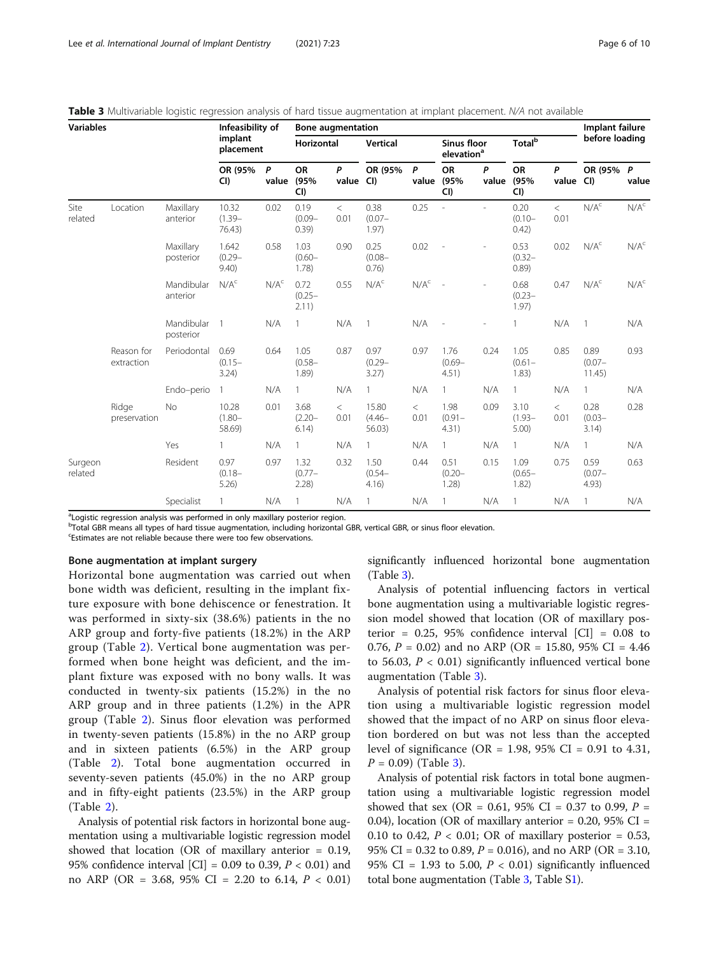<span id="page-5-0"></span>Table 3 Multivariable logistic regression analysis of hard tissue augmentation at implant placement. N/A not available

| <b>Variables</b>   |                          |                         | Infeasibility of<br>implant<br>placement |                  | <b>Bone augmentation</b>   |               |                              |                  |                                              |            |                            |                   | Implant failure             |                  |
|--------------------|--------------------------|-------------------------|------------------------------------------|------------------|----------------------------|---------------|------------------------------|------------------|----------------------------------------------|------------|----------------------------|-------------------|-----------------------------|------------------|
|                    |                          |                         |                                          |                  | Horizontal                 |               | <b>Vertical</b>              |                  | <b>Sinus floor</b><br>elevation <sup>a</sup> |            | <b>Total</b> <sup>b</sup>  |                   | before loading              |                  |
|                    |                          |                         | OR (95%<br>CI)                           | P<br>value       | <b>OR</b><br>(95%<br>CI)   | P<br>value    | OR (95%<br>CI)               | P<br>value       | <b>OR</b><br>(95%<br>CI)                     | P<br>value | OR<br>(95%<br>CI)          | P<br>value        | OR (95% P<br>CI             | value            |
| Site<br>related    | Location                 | Maxillary<br>anterior   | 10.32<br>$(1.39 -$<br>76.43)             | 0.02             | 0.19<br>$(0.09 -$<br>0.39) | $\lt$<br>0.01 | 0.38<br>$(0.07 -$<br>1.97)   | 0.25             |                                              |            | 0.20<br>$(0.10 -$<br>0.42) | $\langle$<br>0.01 | $N/A^c$                     | N/A <sup>c</sup> |
|                    |                          | Maxillary<br>posterior  | 1.642<br>$(0.29 -$<br>9.40               | 0.58             | 1.03<br>$(0.60 -$<br>1.78) | 0.90          | 0.25<br>$(0.08 -$<br>0.76)   | 0.02             |                                              |            | 0.53<br>$(0.32 -$<br>0.89) | 0.02              | N/A <sup>c</sup>            | N/A <sup>c</sup> |
|                    |                          | Mandibular<br>anterior  | N/A <sup>c</sup>                         | N/A <sup>c</sup> | 0.72<br>$(0.25 -$<br>2.11) | 0.55          | N/A <sup>c</sup>             | N/A <sup>c</sup> |                                              |            | 0.68<br>$(0.23 -$<br>1.97) | 0.47              | N/A <sup>c</sup>            | N/A <sup>c</sup> |
|                    |                          | Mandibular<br>posterior |                                          | N/A              |                            | N/A           |                              | N/A              |                                              |            | 1                          | N/A               |                             | N/A              |
|                    | Reason for<br>extraction | Periodontal             | 0.69<br>$(0.15 -$<br>3.24)               | 0.64             | 1.05<br>$(0.58 -$<br>1.89) | 0.87          | 0.97<br>$(0.29 -$<br>3.27)   | 0.97             | 1.76<br>$(0.69 -$<br>4.51)                   | 0.24       | 1.05<br>$(0.61 -$<br>1.83) | 0.85              | 0.89<br>$(0.07 -$<br>11.45) | 0.93             |
|                    |                          | Endo-perio              | 1                                        | N/A              | $\mathbf{1}$               | N/A           | 1                            | N/A              | $\mathbf{1}$                                 | N/A        | $\mathbf{1}$               | N/A               | $\mathbf{1}$                | N/A              |
|                    | Ridge<br>preservation    | <b>No</b>               | 10.28<br>$(1.80 -$<br>58.69)             | 0.01             | 3.68<br>$(2.20 -$<br>6.14) | $\lt$<br>0.01 | 15.80<br>$(4.46 -$<br>56.03) | $\lt$<br>0.01    | 1.98<br>$(0.91 -$<br>4.31)                   | 0.09       | 3.10<br>$(1.93 -$<br>5.00  | $\lt$<br>0.01     | 0.28<br>$(0.03 -$<br>3.14)  | 0.28             |
|                    |                          | Yes                     | 1                                        | N/A              | $\mathbf{1}$               | N/A           | 1                            | N/A              | $\mathbf{1}$                                 | N/A        | $\mathbf{1}$               | N/A               | 1                           | N/A              |
| Surgeon<br>related |                          | Resident                | 0.97<br>$(0.18 -$<br>5.26                | 0.97             | 1.32<br>$(0.77 -$<br>2.28  | 0.32          | 1.50<br>$(0.54 -$<br>4.16)   | 0.44             | 0.51<br>$(0.20 -$<br>$1.28$ )                | 0.15       | 1.09<br>$(0.65 -$<br>1.82) | 0.75              | 0.59<br>$(0.07 -$<br>4.93)  | 0.63             |
|                    |                          | Specialist              |                                          | N/A              |                            | N/A           | $\mathbf{1}$                 | N/A              | 1                                            | N/A        | $\mathbf{1}$               | N/A               | $\mathbf{1}$                | N/A              |

<sup>a</sup>Logistic regression analysis was performed in only maxillary posterior region.

**bTotal GBR means all types of hard tissue augmentation, including horizontal GBR, vertical GBR, or sinus floor elevation.** 

Estimates are not reliable because there were too few observations.

#### Bone augmentation at implant surgery

Horizontal bone augmentation was carried out when bone width was deficient, resulting in the implant fixture exposure with bone dehiscence or fenestration. It was performed in sixty-six (38.6%) patients in the no ARP group and forty-five patients (18.2%) in the ARP group (Table [2](#page-4-0)). Vertical bone augmentation was performed when bone height was deficient, and the implant fixture was exposed with no bony walls. It was conducted in twenty-six patients (15.2%) in the no ARP group and in three patients (1.2%) in the APR group (Table [2\)](#page-4-0). Sinus floor elevation was performed in twenty-seven patients (15.8%) in the no ARP group and in sixteen patients (6.5%) in the ARP group (Table [2](#page-4-0)). Total bone augmentation occurred in seventy-seven patients (45.0%) in the no ARP group and in fifty-eight patients (23.5%) in the ARP group (Table [2](#page-4-0)).

Analysis of potential risk factors in horizontal bone augmentation using a multivariable logistic regression model showed that location (OR of maxillary anterior = 0.19, 95% confidence interval  $\text{[CI]} = 0.09$  to 0.39,  $P < 0.01$ ) and no ARP (OR = 3.68, 95% CI = 2.20 to 6.14,  $P < 0.01$ ) significantly influenced horizontal bone augmentation (Table 3).

Analysis of potential influencing factors in vertical bone augmentation using a multivariable logistic regression model showed that location (OR of maxillary posterior =  $0.25$ , 95% confidence interval  $|CI| = 0.08$  to 0.76,  $P = 0.02$ ) and no ARP (OR = 15.80, 95% CI = 4.46 to 56.03,  $P < 0.01$ ) significantly influenced vertical bone augmentation (Table 3).

Analysis of potential risk factors for sinus floor elevation using a multivariable logistic regression model showed that the impact of no ARP on sinus floor elevation bordered on but was not less than the accepted level of significance (OR = 1.98, 95% CI = 0.91 to 4.31,  $P = 0.09$  (Table 3).

Analysis of potential risk factors in total bone augmentation using a multivariable logistic regression model showed that sex (OR = 0.61, 95% CI = 0.37 to 0.99,  $P =$ 0.04), location (OR of maxillary anterior = 0.20, 95%  $CI =$ 0.10 to 0.42,  $P < 0.01$ ; OR of maxillary posterior = 0.53, 95% CI = 0.32 to 0.89,  $P = 0.016$ ), and no ARP (OR = 3.10, 95% CI = 1.93 to 5.00,  $P < 0.01$ ) significantly influenced total bone augmentation (Table 3, Table [S1](#page-8-0)).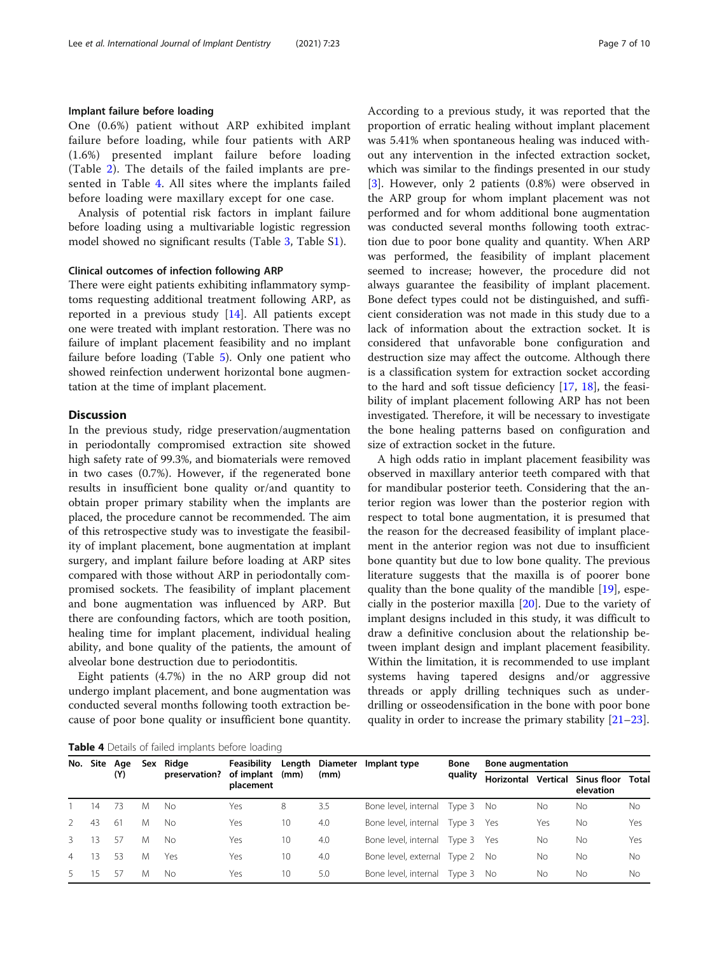#### Implant failure before loading

One (0.6%) patient without ARP exhibited implant failure before loading, while four patients with ARP (1.6%) presented implant failure before loading (Table [2](#page-4-0)). The details of the failed implants are presented in Table 4. All sites where the implants failed before loading were maxillary except for one case.

Analysis of potential risk factors in implant failure before loading using a multivariable logistic regression model showed no significant results (Table [3,](#page-5-0) Table S[1\)](#page-8-0).

#### Clinical outcomes of infection following ARP

There were eight patients exhibiting inflammatory symptoms requesting additional treatment following ARP, as reported in a previous study [\[14](#page-8-0)]. All patients except one were treated with implant restoration. There was no failure of implant placement feasibility and no implant failure before loading (Table [5\)](#page-7-0). Only one patient who showed reinfection underwent horizontal bone augmentation at the time of implant placement.

#### **Discussion**

In the previous study, ridge preservation/augmentation in periodontally compromised extraction site showed high safety rate of 99.3%, and biomaterials were removed in two cases (0.7%). However, if the regenerated bone results in insufficient bone quality or/and quantity to obtain proper primary stability when the implants are placed, the procedure cannot be recommended. The aim of this retrospective study was to investigate the feasibility of implant placement, bone augmentation at implant surgery, and implant failure before loading at ARP sites compared with those without ARP in periodontally compromised sockets. The feasibility of implant placement and bone augmentation was influenced by ARP. But there are confounding factors, which are tooth position, healing time for implant placement, individual healing ability, and bone quality of the patients, the amount of alveolar bone destruction due to periodontitis.

Eight patients (4.7%) in the no ARP group did not undergo implant placement, and bone augmentation was conducted several months following tooth extraction because of poor bone quality or insufficient bone quantity.

According to a previous study, it was reported that the proportion of erratic healing without implant placement was 5.41% when spontaneous healing was induced without any intervention in the infected extraction socket, which was similar to the findings presented in our study [[3\]](#page-8-0). However, only 2 patients (0.8%) were observed in the ARP group for whom implant placement was not performed and for whom additional bone augmentation was conducted several months following tooth extraction due to poor bone quality and quantity. When ARP was performed, the feasibility of implant placement seemed to increase; however, the procedure did not always guarantee the feasibility of implant placement. Bone defect types could not be distinguished, and sufficient consideration was not made in this study due to a lack of information about the extraction socket. It is considered that unfavorable bone configuration and destruction size may affect the outcome. Although there is a classification system for extraction socket according to the hard and soft tissue deficiency [\[17](#page-8-0), [18\]](#page-8-0), the feasibility of implant placement following ARP has not been investigated. Therefore, it will be necessary to investigate the bone healing patterns based on configuration and size of extraction socket in the future.

A high odds ratio in implant placement feasibility was observed in maxillary anterior teeth compared with that for mandibular posterior teeth. Considering that the anterior region was lower than the posterior region with respect to total bone augmentation, it is presumed that the reason for the decreased feasibility of implant placement in the anterior region was not due to insufficient bone quantity but due to low bone quality. The previous literature suggests that the maxilla is of poorer bone quality than the bone quality of the mandible [[19\]](#page-8-0), especially in the posterior maxilla [\[20\]](#page-9-0). Due to the variety of implant designs included in this study, it was difficult to draw a definitive conclusion about the relationship between implant design and implant placement feasibility. Within the limitation, it is recommended to use implant systems having tapered designs and/or aggressive threads or apply drilling techniques such as underdrilling or osseodensification in the bone with poor bone quality in order to increase the primary stability [\[21](#page-9-0)–[23\]](#page-9-0).

Table 4 Details of failed implants before loading

| No.            |    | Site Age |   | Sex Ridge     | Feasibility             |      |      | Length Diameter Implant type    | Bone    | <b>Bone augmentation</b> |          |                                 |              |
|----------------|----|----------|---|---------------|-------------------------|------|------|---------------------------------|---------|--------------------------|----------|---------------------------------|--------------|
|                |    | (Y)      |   | preservation? | of implant<br>placement | (mm) | (mm) |                                 | quality |                          | Vertical | <b>Sinus floor</b><br>elevation | <b>Total</b> |
|                | 14 | -73      | M | No.           | Yes                     | 8    | 3.5  | Bone level, internal Type 3 No  |         |                          | Nο       | Nο                              | No           |
| $\mathcal{P}$  | 43 | -61      | M | No            | Yes                     | 10   | 4.0  | Bone level, internal Type 3 Yes |         |                          | Yes      | No.                             | Yes          |
| 3              | 13 | -57      | M | No            | Yes                     | 10   | 4.0  | Bone level, internal Type 3 Yes |         |                          | No       | No.                             | Yes          |
| $\overline{4}$ | 13 | -53      | M | Yes           | Yes                     | 10   | 4.0  | Bone level, external Type 2 No  |         |                          | Nο       | No.                             | No           |
| 5              | 15 | -57      | M | No.           | Yes                     | 10   | 5.0  | Bone level, internal Type 3 No  |         |                          | Νo       | Nο                              | <b>No</b>    |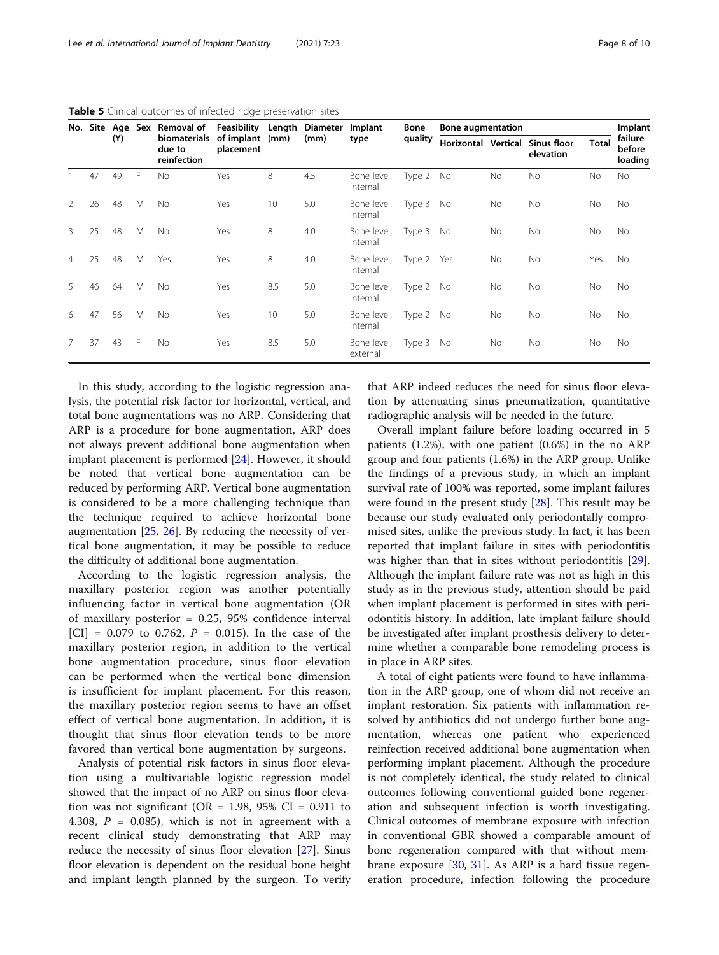|                |    |     |   | No. Site Age Sex Removal of           | Feasibility             |      | Length Diameter Implant |                         | Bone       | <b>Bone augmentation</b> |           |                                              |              | Implant                      |
|----------------|----|-----|---|---------------------------------------|-------------------------|------|-------------------------|-------------------------|------------|--------------------------|-----------|----------------------------------------------|--------------|------------------------------|
|                |    | (Y) |   | biomaterials<br>due to<br>reinfection | of implant<br>placement | (mm) | (mm)                    | type                    | quality    |                          |           | Horizontal Vertical Sinus floor<br>elevation | <b>Total</b> | failure<br>before<br>loading |
|                | 47 | 49  | F | <b>No</b>                             | Yes                     | 8    | 4.5                     | Bone level,<br>internal | Type 2 No  |                          | <b>No</b> | <b>No</b>                                    | No           | No.                          |
| $\mathcal{L}$  | 26 | 48  | M | <b>No</b>                             | Yes                     | 10   | 5.0                     | Bone level,<br>internal | Type 3 No  |                          | No        | No                                           | No           | No.                          |
| 3              | 25 | 48  | M | No.                                   | Yes                     | 8    | 4.0                     | Bone level,<br>internal | Type 3     | No.                      | <b>No</b> | <b>No</b>                                    | <b>No</b>    | No.                          |
| $\overline{4}$ | 25 | 48  | M | Yes                                   | Yes                     | 8    | 4.0                     | Bone level,<br>internal | Type 2 Yes |                          | <b>No</b> | <b>No</b>                                    | Yes          | No.                          |
| 5              | 46 | 64  | M | <b>No</b>                             | Yes                     | 8.5  | 5.0                     | Bone level,<br>internal | Type 2 No  |                          | No        | No                                           | No           | No.                          |
| 6              | 47 | 56  | M | <b>No</b>                             | Yes                     | 10   | 5.0                     | Bone level,<br>internal | Type 2 No  |                          | <b>No</b> | <b>No</b>                                    | No           | No.                          |
| 7              | 37 | 43  | F | <b>No</b>                             | Yes                     | 8.5  | 5.0                     | Bone level,<br>external | Type 3     | No                       | <b>No</b> | <b>No</b>                                    | No           | No.                          |

<span id="page-7-0"></span>Table 5 Clinical outcomes of infected ridge preservation sites

In this study, according to the logistic regression analysis, the potential risk factor for horizontal, vertical, and total bone augmentations was no ARP. Considering that ARP is a procedure for bone augmentation, ARP does not always prevent additional bone augmentation when implant placement is performed [[24](#page-9-0)]. However, it should be noted that vertical bone augmentation can be reduced by performing ARP. Vertical bone augmentation is considered to be a more challenging technique than the technique required to achieve horizontal bone augmentation [[25](#page-9-0), [26\]](#page-9-0). By reducing the necessity of vertical bone augmentation, it may be possible to reduce the difficulty of additional bone augmentation.

According to the logistic regression analysis, the maxillary posterior region was another potentially influencing factor in vertical bone augmentation (OR of maxillary posterior = 0.25, 95% confidence interval [CI] = 0.079 to 0.762,  $P = 0.015$ ). In the case of the maxillary posterior region, in addition to the vertical bone augmentation procedure, sinus floor elevation can be performed when the vertical bone dimension is insufficient for implant placement. For this reason, the maxillary posterior region seems to have an offset effect of vertical bone augmentation. In addition, it is thought that sinus floor elevation tends to be more favored than vertical bone augmentation by surgeons.

Analysis of potential risk factors in sinus floor elevation using a multivariable logistic regression model showed that the impact of no ARP on sinus floor elevation was not significant (OR = 1.98, 95% CI = 0.911 to 4.308,  $P = 0.085$ ), which is not in agreement with a recent clinical study demonstrating that ARP may reduce the necessity of sinus floor elevation [\[27](#page-9-0)]. Sinus floor elevation is dependent on the residual bone height and implant length planned by the surgeon. To verify that ARP indeed reduces the need for sinus floor elevation by attenuating sinus pneumatization, quantitative radiographic analysis will be needed in the future.

Overall implant failure before loading occurred in 5 patients (1.2%), with one patient (0.6%) in the no ARP group and four patients (1.6%) in the ARP group. Unlike the findings of a previous study, in which an implant survival rate of 100% was reported, some implant failures were found in the present study  $[28]$ . This result may be because our study evaluated only periodontally compromised sites, unlike the previous study. In fact, it has been reported that implant failure in sites with periodontitis was higher than that in sites without periodontitis [\[29](#page-9-0)]. Although the implant failure rate was not as high in this study as in the previous study, attention should be paid when implant placement is performed in sites with periodontitis history. In addition, late implant failure should be investigated after implant prosthesis delivery to determine whether a comparable bone remodeling process is in place in ARP sites.

A total of eight patients were found to have inflammation in the ARP group, one of whom did not receive an implant restoration. Six patients with inflammation resolved by antibiotics did not undergo further bone augmentation, whereas one patient who experienced reinfection received additional bone augmentation when performing implant placement. Although the procedure is not completely identical, the study related to clinical outcomes following conventional guided bone regeneration and subsequent infection is worth investigating. Clinical outcomes of membrane exposure with infection in conventional GBR showed a comparable amount of bone regeneration compared with that without membrane exposure [[30,](#page-9-0) [31](#page-9-0)]. As ARP is a hard tissue regeneration procedure, infection following the procedure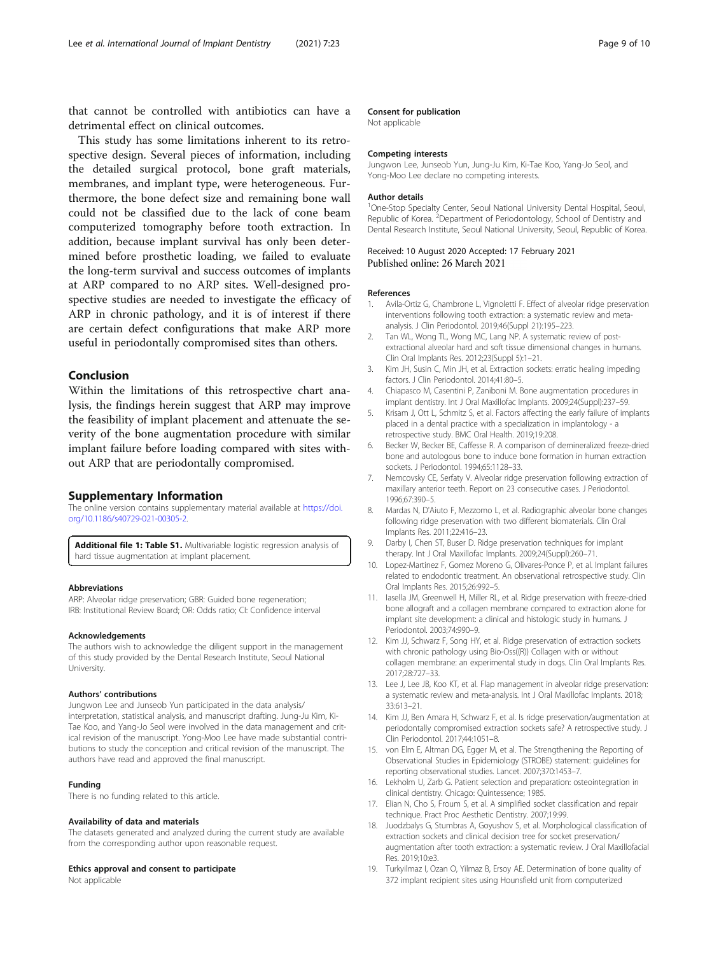<span id="page-8-0"></span>that cannot be controlled with antibiotics can have a detrimental effect on clinical outcomes.

This study has some limitations inherent to its retrospective design. Several pieces of information, including the detailed surgical protocol, bone graft materials, membranes, and implant type, were heterogeneous. Furthermore, the bone defect size and remaining bone wall could not be classified due to the lack of cone beam computerized tomography before tooth extraction. In addition, because implant survival has only been determined before prosthetic loading, we failed to evaluate the long-term survival and success outcomes of implants at ARP compared to no ARP sites. Well-designed prospective studies are needed to investigate the efficacy of ARP in chronic pathology, and it is of interest if there are certain defect configurations that make ARP more useful in periodontally compromised sites than others.

#### Conclusion

Within the limitations of this retrospective chart analysis, the findings herein suggest that ARP may improve the feasibility of implant placement and attenuate the severity of the bone augmentation procedure with similar implant failure before loading compared with sites without ARP that are periodontally compromised.

#### Supplementary Information

The online version contains supplementary material available at [https://doi.](https://doi.org/10.1186/s40729-021-00305-2) [org/10.1186/s40729-021-00305-2.](https://doi.org/10.1186/s40729-021-00305-2)

Additional file 1: Table S1. Multivariable logistic regression analysis of hard tissue augmentation at implant placement.

#### Abbreviations

ARP: Alveolar ridge preservation; GBR: Guided bone regeneration; IRB: Institutional Review Board; OR: Odds ratio; CI: Confidence interval

#### Acknowledgements

The authors wish to acknowledge the diligent support in the management of this study provided by the Dental Research Institute, Seoul National University.

#### Authors' contributions

Jungwon Lee and Junseob Yun participated in the data analysis/ interpretation, statistical analysis, and manuscript drafting. Jung-Ju Kim, Ki-Tae Koo, and Yang-Jo Seol were involved in the data management and critical revision of the manuscript. Yong-Moo Lee have made substantial contributions to study the conception and critical revision of the manuscript. The authors have read and approved the final manuscript.

#### Funding

There is no funding related to this article.

#### Availability of data and materials

The datasets generated and analyzed during the current study are available from the corresponding author upon reasonable request.

#### Ethics approval and consent to participate

Not applicable

#### Consent for publication

Not applicable

#### Competing interests

Jungwon Lee, Junseob Yun, Jung-Ju Kim, Ki-Tae Koo, Yang-Jo Seol, and Yong-Moo Lee declare no competing interests.

#### Author details

<sup>1</sup>One-Stop Specialty Center, Seoul National University Dental Hospital, Seoul Republic of Korea. <sup>2</sup>Department of Periodontology, School of Dentistry and Dental Research Institute, Seoul National University, Seoul, Republic of Korea.

#### Received: 10 August 2020 Accepted: 17 February 2021 Published online: 26 March 2021

#### References

- 1. Avila-Ortiz G, Chambrone L, Vignoletti F. Effect of alveolar ridge preservation interventions following tooth extraction: a systematic review and metaanalysis. J Clin Periodontol. 2019;46(Suppl 21):195–223.
- 2. Tan WL, Wong TL, Wong MC, Lang NP. A systematic review of postextractional alveolar hard and soft tissue dimensional changes in humans. Clin Oral Implants Res. 2012;23(Suppl 5):1–21.
- 3. Kim JH, Susin C, Min JH, et al. Extraction sockets: erratic healing impeding factors. J Clin Periodontol. 2014;41:80–5.
- 4. Chiapasco M, Casentini P, Zaniboni M. Bone augmentation procedures in implant dentistry. Int J Oral Maxillofac Implants. 2009;24(Suppl):237–59.
- 5. Krisam J, Ott L, Schmitz S, et al. Factors affecting the early failure of implants placed in a dental practice with a specialization in implantology - a retrospective study. BMC Oral Health. 2019;19:208.
- 6. Becker W, Becker BE, Caffesse R. A comparison of demineralized freeze-dried bone and autologous bone to induce bone formation in human extraction sockets. J Periodontol. 1994;65:1128–33.
- 7. Nemcovsky CE, Serfaty V. Alveolar ridge preservation following extraction of maxillary anterior teeth. Report on 23 consecutive cases. J Periodontol. 1996;67:390–5.
- 8. Mardas N, D'Aiuto F, Mezzomo L, et al. Radiographic alveolar bone changes following ridge preservation with two different biomaterials. Clin Oral Implants Res. 2011;22:416–23.
- 9. Darby I, Chen ST, Buser D. Ridge preservation techniques for implant therapy. Int J Oral Maxillofac Implants. 2009;24(Suppl):260–71.
- 10. Lopez-Martinez F, Gomez Moreno G, Olivares-Ponce P, et al. Implant failures related to endodontic treatment. An observational retrospective study. Clin Oral Implants Res. 2015;26:992–5.
- 11. Iasella JM, Greenwell H, Miller RL, et al. Ridge preservation with freeze-dried bone allograft and a collagen membrane compared to extraction alone for implant site development: a clinical and histologic study in humans. J Periodontol. 2003;74:990–9.
- 12. Kim JJ, Schwarz F, Song HY, et al. Ridge preservation of extraction sockets with chronic pathology using Bio-Oss((R)) Collagen with or without collagen membrane: an experimental study in dogs. Clin Oral Implants Res. 2017;28:727–33.
- 13. Lee J, Lee JB, Koo KT, et al. Flap management in alveolar ridge preservation: a systematic review and meta-analysis. Int J Oral Maxillofac Implants. 2018; 33:613–21.
- 14. Kim JJ, Ben Amara H, Schwarz F, et al. Is ridge preservation/augmentation at periodontally compromised extraction sockets safe? A retrospective study. J Clin Periodontol. 2017;44:1051–8.
- 15. von Elm E, Altman DG, Egger M, et al. The Strengthening the Reporting of Observational Studies in Epidemiology (STROBE) statement: guidelines for reporting observational studies. Lancet. 2007;370:1453–7.
- 16. Lekholm U, Zarb G. Patient selection and preparation: osteointegration in clinical dentistry. Chicago: Quintessence; 1985.
- 17. Elian N, Cho S, Froum S, et al. A simplified socket classification and repair technique. Pract Proc Aesthetic Dentistry. 2007;19:99.
- 18. Juodzbalys G, Stumbras A, Goyushov S, et al. Morphological classification of extraction sockets and clinical decision tree for socket preservation/ augmentation after tooth extraction: a systematic review. J Oral Maxillofacial Res. 2019;10:e3.
- 19. Turkyilmaz I, Ozan O, Yilmaz B, Ersoy AE. Determination of bone quality of 372 implant recipient sites using Hounsfield unit from computerized